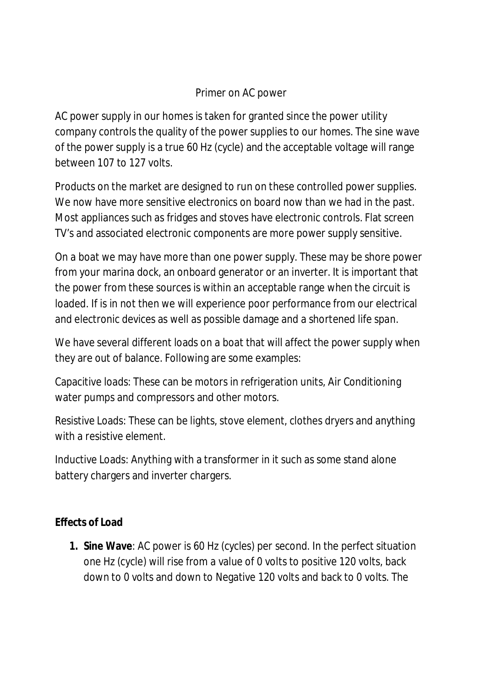# Primer on AC power

AC power supply in our homes is taken for granted since the power utility company controls the quality of the power supplies to our homes. The sine wave of the power supply is a true 60 Hz (cycle) and the acceptable voltage will range between 107 to 127 volts.

Products on the market are designed to run on these controlled power supplies. We now have more sensitive electronics on board now than we had in the past. Most appliances such as fridges and stoves have electronic controls. Flat screen TV's and associated electronic components are more power supply sensitive.

On a boat we may have more than one power supply. These may be shore power from your marina dock, an onboard generator or an inverter. It is important that the power from these sources is within an acceptable range when the circuit is loaded. If is in not then we will experience poor performance from our electrical and electronic devices as well as possible damage and a shortened life span.

We have several different loads on a boat that will affect the power supply when they are out of balance. Following are some examples:

Capacitive loads: These can be motors in refrigeration units, Air Conditioning water pumps and compressors and other motors.

Resistive Loads: These can be lights, stove element, clothes dryers and anything with a resistive element.

Inductive Loads: Anything with a transformer in it such as some stand alone battery chargers and inverter chargers.

**Effects of Load**

**1. Sine Wave**: AC power is 60 Hz (cycles) per second. In the perfect situation one Hz (cycle) will rise from a value of 0 volts to positive 120 volts, back down to 0 volts and down to Negative 120 volts and back to 0 volts. The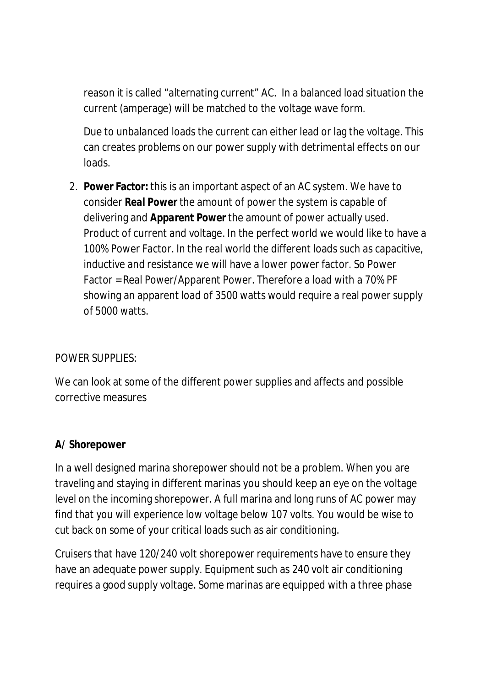reason it is called "alternating current" AC. In a balanced load situation the current (amperage) will be matched to the voltage wave form.

Due to unbalanced loads the current can either lead or lag the voltage. This can creates problems on our power supply with detrimental effects on our loads.

2. **Power Factor:** this is an important aspect of an AC system. We have to consider *Real Power* the amount of power the system is capable of delivering and *Apparent Power* the amount of power actually used. Product of current and voltage. In the perfect world we would like to have a 100% Power Factor. In the real world the different loads such as capacitive, inductive and resistance we will have a lower power factor. So Power Factor = Real Power/Apparent Power. Therefore a load with a 70% PF showing an apparent load of 3500 watts would require a real power supply of 5000 watts.

### POWER SUPPLIES:

We can look at some of the different power supplies and affects and possible corrective measures

### **A/ Shorepower**

In a well designed marina shorepower should not be a problem. When you are traveling and staying in different marinas you should keep an eye on the voltage level on the incoming shorepower. A full marina and long runs of AC power may find that you will experience low voltage below 107 volts. You would be wise to cut back on some of your critical loads such as air conditioning.

Cruisers that have 120/240 volt shorepower requirements have to ensure they have an adequate power supply. Equipment such as 240 volt air conditioning requires a good supply voltage. Some marinas are equipped with a three phase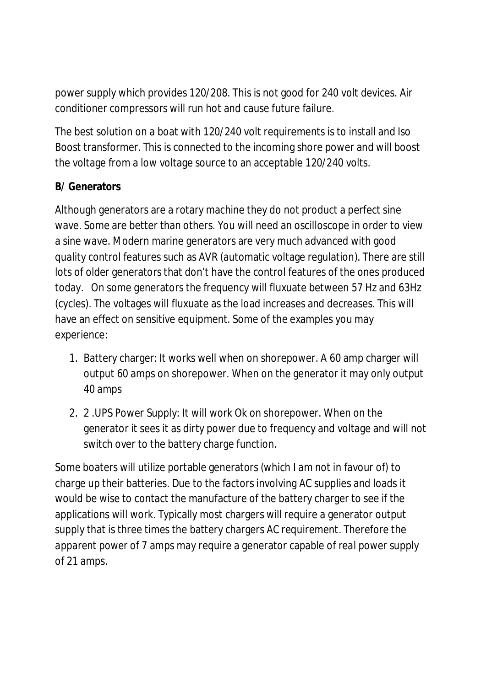power supply which provides 120/208. This is not good for 240 volt devices. Air conditioner compressors will run hot and cause future failure.

The best solution on a boat with 120/240 volt requirements is to install and Iso Boost transformer. This is connected to the incoming shore power and will boost the voltage from a low voltage source to an acceptable 120/240 volts.

## **B/ Generators**

Although generators are a rotary machine they do not product a perfect sine wave. Some are better than others. You will need an oscilloscope in order to view a sine wave. Modern marine generators are very much advanced with good quality control features such as AVR (automatic voltage regulation). There are still lots of older generators that don't have the control features of the ones produced today. On some generators the frequency will fluxuate between 57 Hz and 63Hz (cycles). The voltages will fluxuate as the load increases and decreases. This will have an effect on sensitive equipment. Some of the examples you may experience:

- 1. Battery charger: It works well when on shorepower. A 60 amp charger will output 60 amps on shorepower. When on the generator it may only output 40 amps
- 2. 2 .UPS Power Supply: It will work Ok on shorepower. When on the generator it sees it as dirty power due to frequency and voltage and will not switch over to the battery charge function.

Some boaters will utilize portable generators (which I am not in favour of) to charge up their batteries. Due to the factors involving AC supplies and loads it would be wise to contact the manufacture of the battery charger to see if the applications will work. Typically most chargers will require a generator output supply that is three times the battery chargers AC requirement. Therefore the *apparent power* of 7 amps may require a generator capable of *real power* supply of 21 amps.